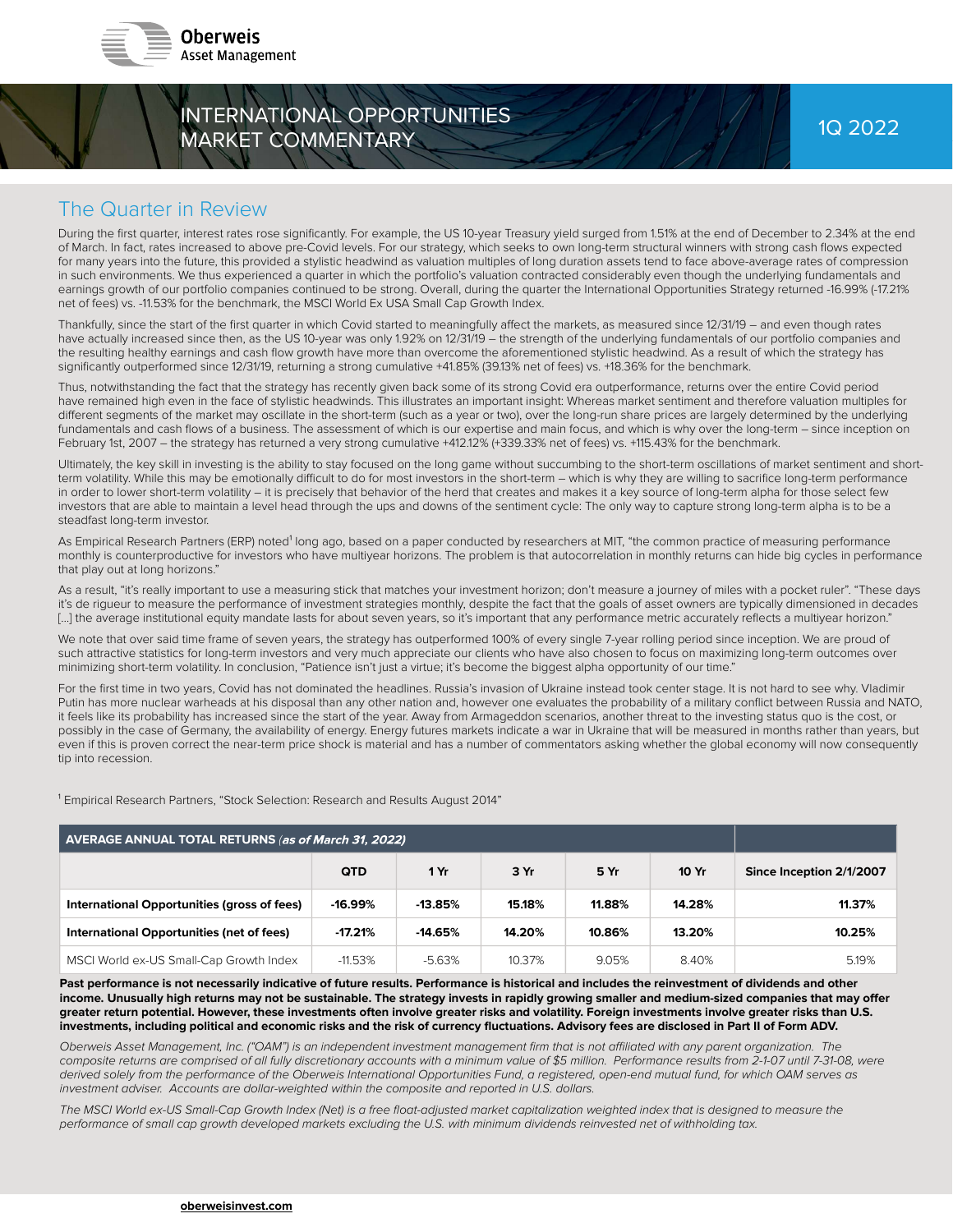



### The Quarter in Review

During the first quarter, interest rates rose significantly. For example, the US 10-year Treasury yield surged from 1.51% at the end of December to 2.34% at the end of March. In fact, rates increased to above pre-Covid levels. For our strategy, which seeks to own long-term structural winners with strong cash flows expected for many years into the future, this provided a stylistic headwind as valuation multiples of long duration assets tend to face above-average rates of compression in such environments. We thus experienced a quarter in which the portfolio's valuation contracted considerably even though the underlying fundamentals and earnings growth of our portfolio companies continued to be strong. Overall, during the quarter the International Opportunities Strategy returned -16.99% (-17.21% net of fees) vs. -11.53% for the benchmark, the MSCI World Ex USA Small Cap Growth Index.

Thankfully, since the start of the first quarter in which Covid started to meaningfully affect the markets, as measured since 12/31/19 – and even though rates have actually increased since then, as the US 10-year was only 1.92% on 12/31/19 – the strength of the underlying fundamentals of our portfolio companies and the resulting healthy earnings and cash flow growth have more than overcome the aforementioned stylistic headwind. As a result of which the strategy has significantly outperformed since 12/31/19, returning a strong cumulative +41.85% (39.13% net of fees) vs. +18.36% for the benchmark.

Thus, notwithstanding the fact that the strategy has recently given back some of its strong Covid era outperformance, returns over the entire Covid period have remained high even in the face of stylistic headwinds. This illustrates an important insight: Whereas market sentiment and therefore valuation multiples for different segments of the market may oscillate in the short-term (such as a year or two), over the long-run share prices are largely determined by the underlying fundamentals and cash flows of a business. The assessment of which is our expertise and main focus, and which is why over the long-term - since inception on February 1st, 2007 – the strategy has returned a very strong cumulative +412.12% (+339.33% net of fees) vs. +115.43% for the benchmark.

Ultimately, the key skill in investing is the ability to stay focused on the long game without succumbing to the short-term oscillations of market sentiment and shortterm volatility. While this may be emotionally difficult to do for most investors in the short-term – which is why they are willing to sacrifice long-term performance in order to lower short-term volatility – it is precisely that behavior of the herd that creates and makes it a key source of long-term alpha for those select few investors that are able to maintain a level head through the ups and downs of the sentiment cycle: The only way to capture strong long-term alpha is to be a steadfast long-term investor.

As Empirical Research Partners (ERP) noted<sup>1</sup> long ago, based on a paper conducted by researchers at MIT, "the common practice of measuring performance monthly is counterproductive for investors who have multiyear horizons. The problem is that autocorrelation in monthly returns can hide big cycles in performance that play out at long horizons."

As a result, "it's really important to use a measuring stick that matches your investment horizon; don't measure a journey of miles with a pocket ruler". "These days it's de rigueur to measure the performance of investment strategies monthly, despite the fact that the goals of asset owners are typically dimensioned in decades [ ... ] the average institutional equity mandate lasts for about seven years, so it's important that any performance metric accurately reflects a multiyear horizon."

We note that over said time frame of seven years, the strategy has outperformed 100% of every single 7-year rolling period since inception. We are proud of such attractive statistics for long-term investors and very much appreciate our clients who have also chosen to focus on maximizing long-term outcomes over minimizing short-term volatility. In conclusion, "Patience isn't just a virtue; it's become the biggest alpha opportunity of our time."

For the first time in two years, Covid has not dominated the headlines. Russia's invasion of Ukraine instead took center stage. It is not hard to see why. Vladimir Putin has more nuclear warheads at his disposal than any other nation and, however one evaluates the probability of a military conflict between Russia and NATO, it feels like its probability has increased since the start of the year. Away from Armageddon scenarios, another threat to the investing status quo is the cost, or possibly in the case of Germany, the availability of energy. Energy futures markets indicate a war in Ukraine that will be measured in months rather than years, but even if this is proven correct the near-term price shock is material and has a number of commentators asking whether the global economy will now consequently tip into recession.

<sup>1</sup> Empirical Research Partners, "Stock Selection: Research and Results August 2014"

| AVERAGE ANNUAL TOTAL RETURNS (as of March 31, 2022) |            |           |        |        |        |                          |
|-----------------------------------------------------|------------|-----------|--------|--------|--------|--------------------------|
|                                                     | <b>QTD</b> | 1 Yr      | 3 Yr   | 5 Yr   | 10 Yr  | Since Inception 2/1/2007 |
| International Opportunities (gross of fees)         | $-16.99%$  | $-13.85%$ | 15.18% | 11.88% | 14.28% | 11.37%                   |
| International Opportunities (net of fees)           | $-17.21%$  | $-14.65%$ | 14.20% | 10.86% | 13.20% | 10.25%                   |
| MSCI World ex-US Small-Cap Growth Index             | $-11.53%$  | $-5.63%$  | 10.37% | 9.05%  | 8.40%  | 5.19%                    |

Past performance is not necessarily indicative of future results. Performance is historical and includes the reinvestment of dividends and other income. Unusually high returns may not be sustainable. The strategy invests in rapidly growing smaller and medium-sized companies that may offer greater return potential. However, these investments often involve greater risks and volatility. Foreign investments involve greater risks than U.S. investments, including political and economic risks and the risk of currency fluctuations. Advisory fees are disclosed in Part II of Form ADV.

Oberweis Asset Management, Inc. ("OAM") is an independent investment management firm that is not affiliated with any parent organization. The composite returns are comprised of all fully discretionary accounts with a minimum value of \$5 million. Performance results from 2-1-07 until 7-31-08, were derived solely from the performance of the Oberweis International Opportunities Fund, a registered, open-end mutual fund, for which OAM serves as investment adviser. Accounts are dollar-weighted within the composite and reported in U.S. dollars.

The MSCI World ex-US Small-Cap Growth Index (Net) is a free float-adjusted market capitalization weighted index that is designed to measure the performance of small cap growth developed markets excluding the U.S. with minimum dividends reinvested net of withholding tax.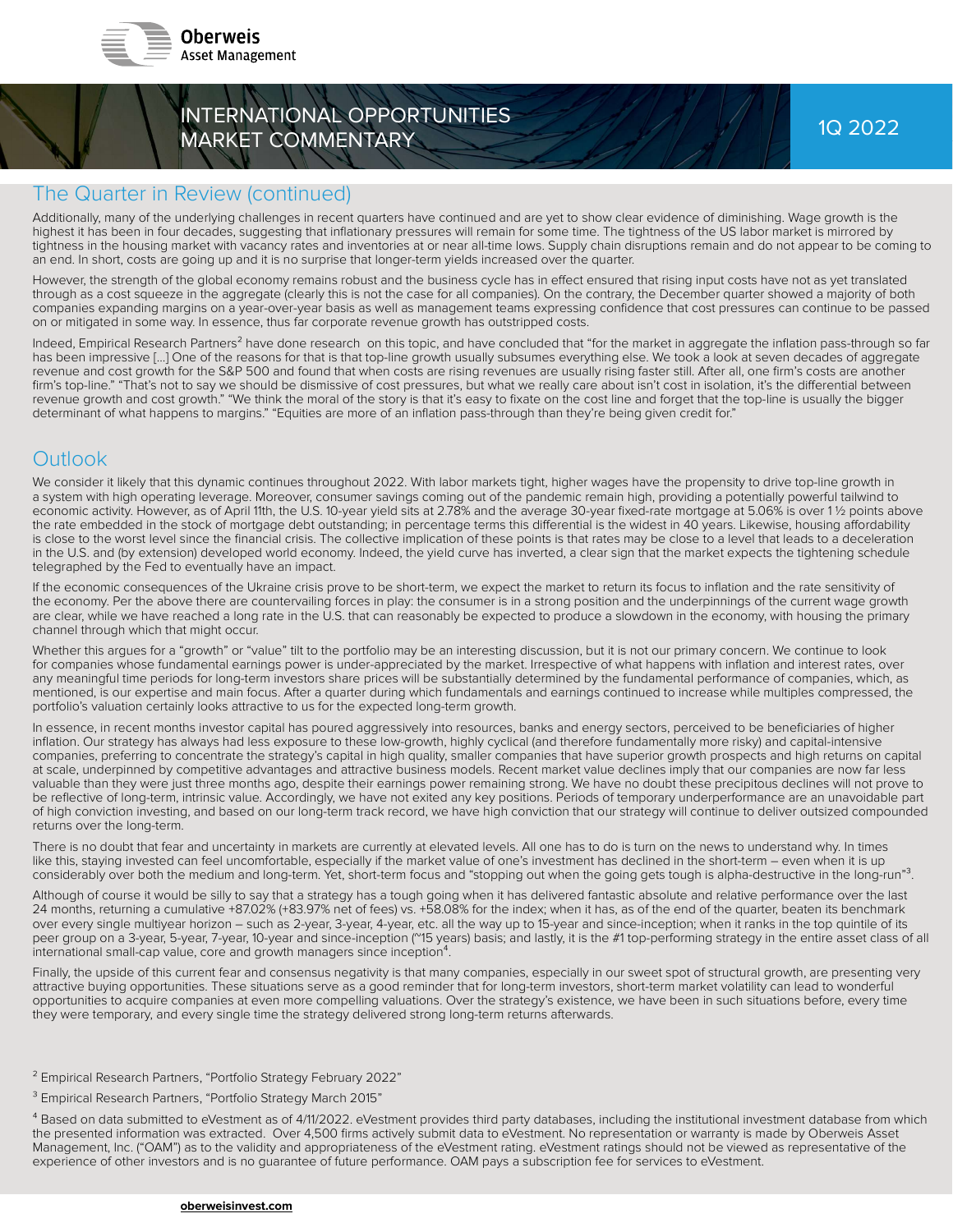

# INTERNATIONAL OPPORTUNITIES MARKET COMMENTARY

#### The Quarter in Review (continued)

Additionally, many of the underlying challenges in recent quarters have continued and are yet to show clear evidence of diminishing. Wage growth is the highest it has been in four decades, suggesting that inflationary pressures will remain for some time. The tightness of the US labor market is mirrored by tightness in the housing market with vacancy rates and inventories at or near all-time lows. Supply chain disruptions remain and do not appear to be coming to an end. In short, costs are going up and it is no surprise that longer-term yields increased over the quarter.

However, the strength of the global economy remains robust and the business cycle has in effect ensured that rising input costs have not as yet translated through as a cost squeeze in the aggregate (clearly this is not the case for all companies). On the contrary, the December quarter showed a majority of both companies expanding margins on a year-over-year basis as well as management teams expressing confi dence that cost pressures can continue to be passed on or mitigated in some way. In essence, thus far corporate revenue growth has outstripped costs.

Indeed, Empirical Research Partners<sup>2</sup> have done research on this topic, and have concluded that "for the market in aggregate the inflation pass-through so far has been impressive [...] One of the reasons for that is that top-line growth usually subsumes everything else. We took a look at seven decades of aggregate revenue and cost growth for the S&P 500 and found that when costs are rising revenues are usually rising faster still. After all, one firm's costs are another firm's top-line." "That's not to say we should be dismissive of cost pressures, but what we really care about isn't cost in isolation, it's the differential between revenue growth and cost growth." "We think the moral of the story is that it's easy to fixate on the cost line and forget that the top-line is usually the bigger determinant of what happens to margins." "Equities are more of an inflation pass-through than they're being given credit for."

### **Outlook**

We consider it likely that this dynamic continues throughout 2022. With labor markets tight, higher wages have the propensity to drive top-line growth in a system with high operating leverage. Moreover, consumer savings coming out of the pandemic remain high, providing a potentially powerful tailwind to economic activity. However, as of April 11th, the U.S. 10-year yield sits at 2.78% and the average 30-year fixed-rate mortgage at 5.06% is over 11/2 points above the rate embedded in the stock of mortgage debt outstanding; in percentage terms this differential is the widest in 40 years. Likewise, housing affordability is close to the worst level since the financial crisis. The collective implication of these points is that rates may be close to a level that leads to a deceleration in the U.S. and (by extension) developed world economy. Indeed, the yield curve has inverted, a clear sign that the market expects the tightening schedule telegraphed by the Fed to eventually have an impact.

If the economic consequences of the Ukraine crisis prove to be short-term, we expect the market to return its focus to inflation and the rate sensitivity of the economy. Per the above there are countervailing forces in play: the consumer is in a strong position and the underpinnings of the current wage growth are clear, while we have reached a long rate in the U.S. that can reasonably be expected to produce a slowdown in the economy, with housing the primary channel through which that might occur.

Whether this argues for a "growth" or "value" tilt to the portfolio may be an interesting discussion, but it is not our primary concern. We continue to look for companies whose fundamental earnings power is under-appreciated by the market. Irrespective of what happens with inflation and interest rates, over any meaningful time periods for long-term investors share prices will be substantially determined by the fundamental performance of companies, which, as mentioned, is our expertise and main focus. After a quarter during which fundamentals and earnings continued to increase while multiples compressed, the portfolio's valuation certainly looks attractive to us for the expected long-term growth.

In essence, in recent months investor capital has poured aggressively into resources, banks and energy sectors, perceived to be beneficiaries of higher inflation. Our strategy has always had less exposure to these low-growth, highly cyclical (and therefore fundamentally more risky) and capital-intensive companies, preferring to concentrate the strategy's capital in high quality, smaller companies that have superior growth prospects and high returns on capital at scale, underpinned by competitive advantages and attractive business models. Recent market value declines imply that our companies are now far less valuable than they were just three months ago, despite their earnings power remaining strong. We have no doubt these precipitous declines will not prove to be reflective of long-term, intrinsic value. Accordingly, we have not exited any key positions. Periods of temporary underperformance are an unavoidable part of high conviction investing, and based on our long-term track record, we have high conviction that our strategy will continue to deliver outsized compounded returns over the long-term.

There is no doubt that fear and uncertainty in markets are currently at elevated levels. All one has to do is turn on the news to understand why. In times like this, staying invested can feel uncomfortable, especially if the market value of one's investment has declined in the short-term – even when it is up considerably over both the medium and long-term. Yet, short-term focus and "stopping out when the going gets tough is alpha-destructive in the long-run"<sup>3</sup>.

Although of course it would be silly to say that a strategy has a tough going when it has delivered fantastic absolute and relative performance over the last 24 months, returning a cumulative +87.02% (+83.97% net of fees) vs. +58.08% for the index; when it has, as of the end of the quarter, beaten its benchmark over every single multiyear horizon – such as 2-year, 3-year, 4-year, etc. all the way up to 15-year and since-inception; when it ranks in the top quintile of its peer group on a 3-year, 5-year, 7-year, 10-year and since-inception ("15 years) basis; and lastly, it is the #1 top-performing strategy in the entire asset class of all international small-cap value, core and growth managers since inception<sup>4</sup>.

Finally, the upside of this current fear and consensus negativity is that many companies, especially in our sweet spot of structural growth, are presenting very attractive buying opportunities. These situations serve as a good reminder that for long-term investors, short-term market volatility can lead to wonderful opportunities to acquire companies at even more compelling valuations. Over the strategy's existence, we have been in such situations before, every time they were temporary, and every single time the strategy delivered strong long-term returns afterwards.

- ² Empirical Research Partners, "Portfolio Strategy February 2022"
- <sup>3</sup> Empirical Research Partners, "Portfolio Strategy March 2015"

<sup>4</sup> Based on data submitted to eVestment as of 4/11/2022. eVestment provides third party databases, including the institutional investment database from which the presented information was extracted. Over 4,500 firms actively submit data to eVestment. No representation or warranty is made by Oberweis Asset Management, Inc. ("OAM") as to the validity and appropriateness of the eVestment rating. eVestment ratings should not be viewed as representative of the experience of other investors and is no guarantee of future performance. OAM pays a subscription fee for services to eVestment.